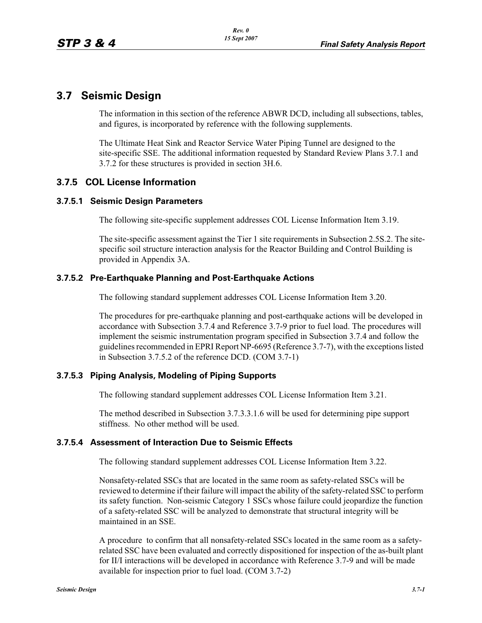# **3.7 Seismic Design**

The information in this section of the reference ABWR DCD, including all subsections, tables, and figures, is incorporated by reference with the following supplements.

The Ultimate Heat Sink and Reactor Service Water Piping Tunnel are designed to the site-specific SSE. The additional information requested by Standard Review Plans 3.7.1 and 3.7.2 for these structures is provided in section 3H.6.

# **3.7.5 COL License Information**

#### **3.7.5.1 Seismic Design Parameters**

The following site-specific supplement addresses COL License Information Item 3.19.

The site-specific assessment against the Tier 1 site requirements in Subsection 2.5S.2. The sitespecific soil structure interaction analysis for the Reactor Building and Control Building is provided in Appendix 3A.

## **3.7.5.2 Pre-Earthquake Planning and Post-Earthquake Actions**

The following standard supplement addresses COL License Information Item 3.20.

The procedures for pre-earthquake planning and post-earthquake actions will be developed in accordance with Subsection 3.7.4 and Reference 3.7-9 prior to fuel load. The procedures will implement the seismic instrumentation program specified in Subsection 3.7.4 and follow the guidelines recommended in EPRI Report NP-6695 (Reference 3.7-7), with the exceptions listed in Subsection 3.7.5.2 of the reference DCD. (COM 3.7-1)

#### **3.7.5.3 Piping Analysis, Modeling of Piping Supports**

The following standard supplement addresses COL License Information Item 3.21.

The method described in Subsection 3.7.3.3.1.6 will be used for determining pipe support stiffness. No other method will be used.

#### **3.7.5.4 Assessment of Interaction Due to Seismic Effects**

The following standard supplement addresses COL License Information Item 3.22.

Nonsafety-related SSCs that are located in the same room as safety-related SSCs will be reviewed to determine if their failure will impact the ability of the safety-related SSC to perform its safety function. Non-seismic Category 1 SSCs whose failure could jeopardize the function of a safety-related SSC will be analyzed to demonstrate that structural integrity will be maintained in an SSE.

A procedure to confirm that all nonsafety-related SSCs located in the same room as a safetyrelated SSC have been evaluated and correctly dispositioned for inspection of the as-built plant for II/I interactions will be developed in accordance with Reference 3.7-9 and will be made available for inspection prior to fuel load. (COM 3.7-2)